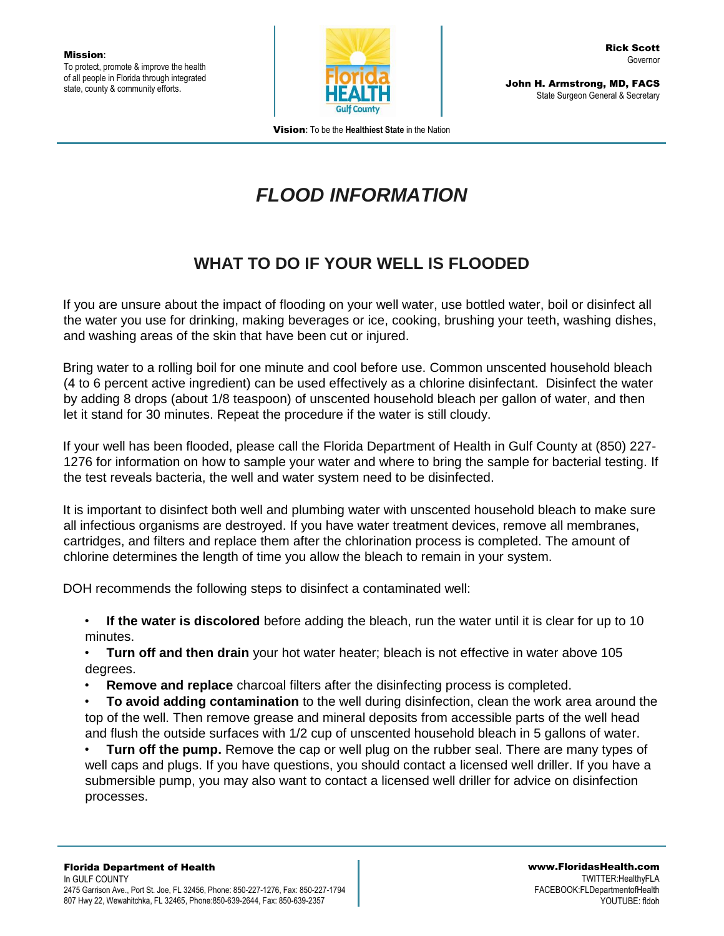

John H. Armstrong, MD, FACS State Surgeon General & Secretary

Vision**:** To be the **Healthiest State** in the Nation

## *FLOOD INFORMATION*

## **WHAT TO DO IF YOUR WELL IS FLOODED**

If you are unsure about the impact of flooding on your well water, use bottled water, boil or disinfect all the water you use for drinking, making beverages or ice, cooking, brushing your teeth, washing dishes, and washing areas of the skin that have been cut or injured.

Bring water to a rolling boil for one minute and cool before use. Common unscented household bleach (4 to 6 percent active ingredient) can be used effectively as a chlorine disinfectant. Disinfect the water by adding 8 drops (about 1/8 teaspoon) of unscented household bleach per gallon of water, and then let it stand for 30 minutes. Repeat the procedure if the water is still cloudy.

If your well has been flooded, please call the Florida Department of Health in Gulf County at (850) 227- 1276 for information on how to sample your water and where to bring the sample for bacterial testing. If the test reveals bacteria, the well and water system need to be disinfected.

It is important to disinfect both well and plumbing water with unscented household bleach to make sure all infectious organisms are destroyed. If you have water treatment devices, remove all membranes, cartridges, and filters and replace them after the chlorination process is completed. The amount of chlorine determines the length of time you allow the bleach to remain in your system.

DOH recommends the following steps to disinfect a contaminated well:

• **If the water is discolored** before adding the bleach, run the water until it is clear for up to 10 minutes.

- **Turn off and then drain** your hot water heater; bleach is not effective in water above 105 degrees.
- **Remove and replace** charcoal filters after the disinfecting process is completed.
- **To avoid adding contamination** to the well during disinfection, clean the work area around the top of the well. Then remove grease and mineral deposits from accessible parts of the well head and flush the outside surfaces with 1/2 cup of unscented household bleach in 5 gallons of water.

• **Turn off the pump.** Remove the cap or well plug on the rubber seal. There are many types of well caps and plugs. If you have questions, you should contact a licensed well driller. If you have a submersible pump, you may also want to contact a licensed well driller for advice on disinfection processes.